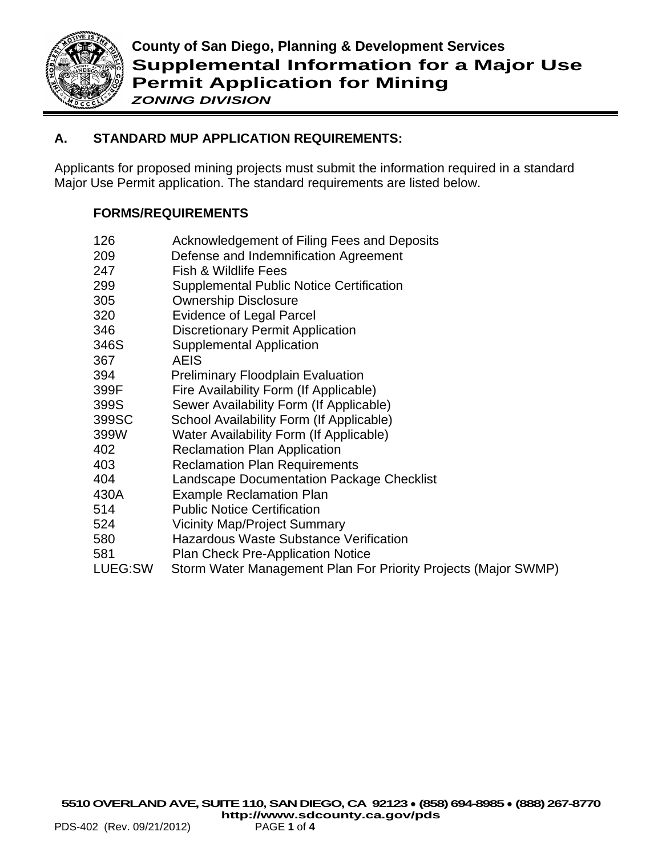

# **A. STANDARD MUP APPLICATION REQUIREMENTS:**

Applicants for proposed mining projects must submit the information required in a standard Major Use Permit application. The standard requirements are listed below.

## **FORMS/REQUIREMENTS**

| 209   | Defense and Indemnification Agreement           |
|-------|-------------------------------------------------|
| 247   | Fish & Wildlife Fees                            |
| 299   | <b>Supplemental Public Notice Certification</b> |
| 305   | <b>Ownership Disclosure</b>                     |
| 320   | Evidence of Legal Parcel                        |
| 346   | <b>Discretionary Permit Application</b>         |
| 346S  | <b>Supplemental Application</b>                 |
| 367   | AEIS                                            |
| 394   | <b>Preliminary Floodplain Evaluation</b>        |
| 399F  | Fire Availability Form (If Applicable)          |
| 399S  | Sewer Availability Form (If Applicable)         |
| 399SC | School Availability Form (If Applicable)        |
| 399W  | Water Availability Form (If Applicable)         |
| 402   | <b>Reclamation Plan Application</b>             |
| 403   | <b>Reclamation Plan Requirements</b>            |
| 404   | Landscape Documentation Package Checklist       |
|       |                                                 |

126 Acknowledgement of Filing Fees and Deposits

- 430A Example Reclamation Plan
- 514 Public Notice Certification
- 524 Vicinity Map/Project Summary
- 580 Hazardous Waste Substance Verification
- 581 Plan Check Pre-Application Notice
- LUEG:SW Storm Water Management Plan For Priority Projects (Major SWMP)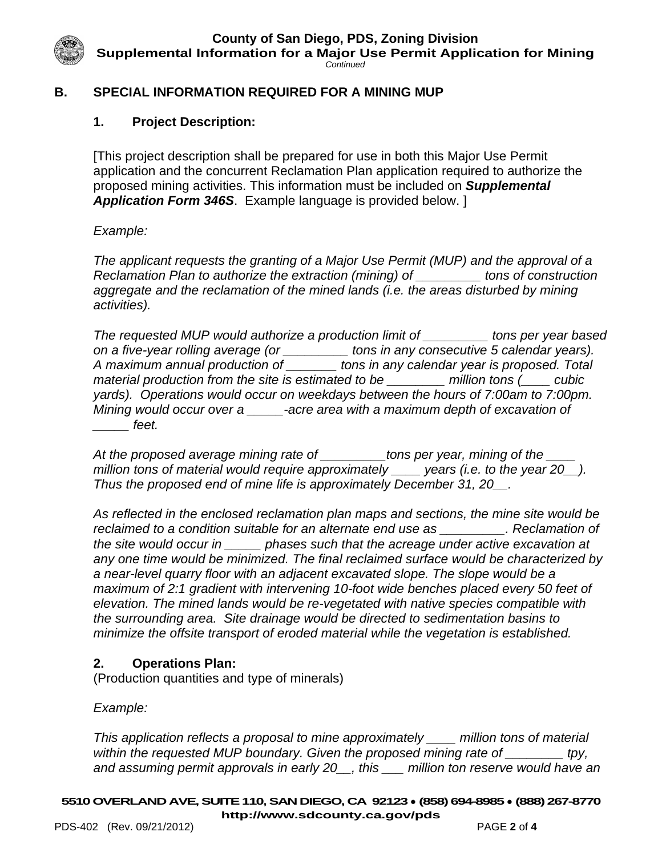**County of San Diego, PDS, Zoning Division**

**Supplemental Information for a Major Use Permit Application for Mining**

*Continued*

### **B. SPECIAL INFORMATION REQUIRED FOR A MINING MUP**

### **1. Project Description:**

[This project description shall be prepared for use in both this Major Use Permit application and the concurrent Reclamation Plan application required to authorize the proposed mining activities. This information must be included on *Supplemental Application Form 346S*. Example language is provided below. ]

#### *Example:*

*The applicant requests the granting of a Major Use Permit (MUP) and the approval of a Reclamation Plan to authorize the extraction (mining) of \_\_\_\_\_\_\_\_\_ tons of construction aggregate and the reclamation of the mined lands (i.e. the areas disturbed by mining activities).* 

*The requested MUP would authorize a production limit of \_\_\_\_\_\_\_\_\_ tons per year based on a five-year rolling average (or \_\_\_\_\_\_\_\_\_ tons in any consecutive 5 calendar years). A maximum annual production of \_\_\_\_\_\_\_ tons in any calendar year is proposed. Total material production from the site is estimated to be \_\_\_\_\_\_\_\_ million tons (\_\_\_\_ cubic yards). Operations would occur on weekdays between the hours of 7:00am to 7:00pm. Mining would occur over a \_\_\_\_\_-acre area with a maximum depth of excavation of \_\_\_\_\_ feet.* 

*At the proposed average mining rate of \_\_\_\_\_\_\_\_\_tons per year, mining of the \_\_\_\_ million tons of material would require approximately \_\_\_\_ years (i.e. to the year 20\_\_). Thus the proposed end of mine life is approximately December 31, 20\_\_.*

*As reflected in the enclosed reclamation plan maps and sections, the mine site would be reclaimed to a condition suitable for an alternate end use as \_\_\_\_\_\_\_\_\_. Reclamation of the site would occur in \_\_\_\_\_ phases such that the acreage under active excavation at any one time would be minimized. The final reclaimed surface would be characterized by a near-level quarry floor with an adjacent excavated slope. The slope would be a maximum of 2:1 gradient with intervening 10-foot wide benches placed every 50 feet of elevation. The mined lands would be re-vegetated with native species compatible with the surrounding area. Site drainage would be directed to sedimentation basins to minimize the offsite transport of eroded material while the vegetation is established.* 

### **2. Operations Plan:**

(Production quantities and type of minerals)

*Example:*

*This application reflects a proposal to mine approximately \_\_\_\_ million tons of material within the requested MUP boundary. Given the proposed mining rate of \_\_\_\_\_\_\_\_ tpy, and assuming permit approvals in early 20\_\_, this \_\_\_ million ton reserve would have an*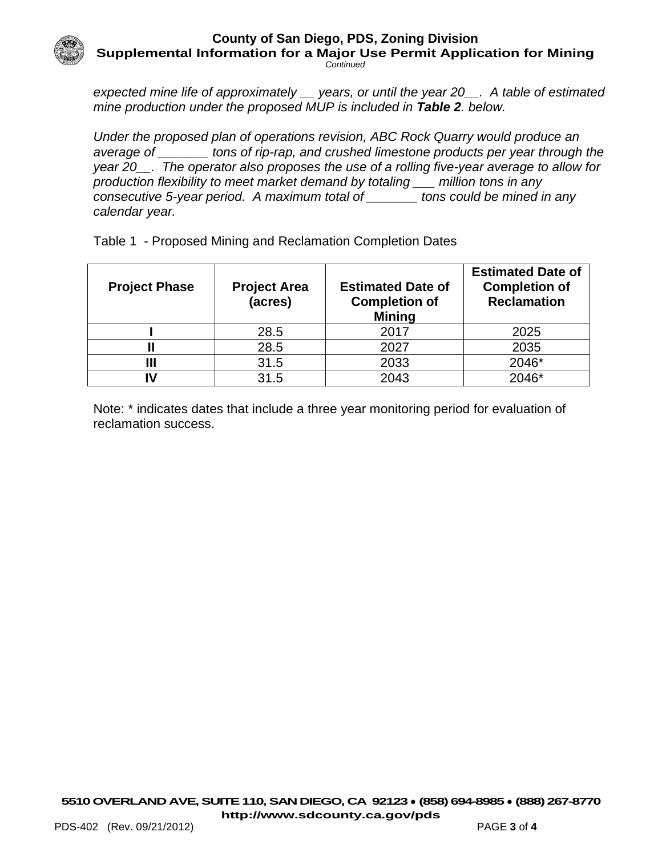#### **County of San Diego, PDS, Zoning Division Supplemental Information for a Major Use Permit Application for Mining** *Continued*

*expected mine life of approximately \_\_ years, or until the year 20\_\_. A table of estimated mine production under the proposed MUP is included in Table 2. below.* 

*Under the proposed plan of operations revision, ABC Rock Quarry would produce an average of \_\_\_\_\_\_\_ tons of rip-rap, and crushed limestone products per year through the year 20\_\_. The operator also proposes the use of a rolling five-year average to allow for production flexibility to meet market demand by totaling \_\_\_ million tons in any consecutive 5-year period. A maximum total of \_\_\_\_\_\_\_ tons could be mined in any calendar year.*

| <b>Project Phase</b> | <b>Project Area</b><br>(acres) | <b>Estimated Date of</b><br><b>Completion of</b><br><b>Mining</b> | <b>Estimated Date of</b><br><b>Completion of</b><br><b>Reclamation</b> |
|----------------------|--------------------------------|-------------------------------------------------------------------|------------------------------------------------------------------------|
|                      | 28.5                           | 2017                                                              | 2025                                                                   |
|                      | 28.5                           | 2027                                                              | 2035                                                                   |
| Ш                    | 31.5                           | 2033                                                              | 2046*                                                                  |

Table 1 - Proposed Mining and Reclamation Completion Dates

Note: \* indicates dates that include a three year monitoring period for evaluation of reclamation success.

**IV** 31.5 2043 2046\*